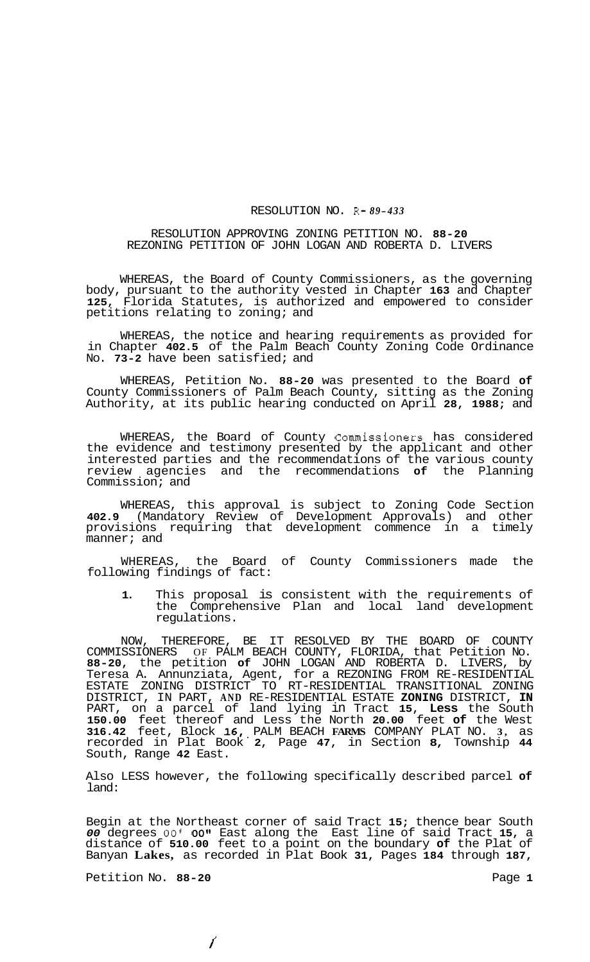## RESOLUTION NO. R- *89-433*

## RESOLUTION APPROVING ZONING PETITION NO. **88-20**  REZONING PETITION OF JOHN LOGAN AND ROBERTA D. LIVERS

WHEREAS, the Board of County Commissioners, as the governing body, pursuant to the authority vested in Chapter **163** and Chapter **125,** Florida Statutes, is authorized and empowered to consider petitions relating to zoning; and

WHEREAS, the notice and hearing requirements as provided for in Chapter **402.5** of the Palm Beach County Zoning Code Ordinance No. **73-2** have been satisfied; and

WHEREAS, Petition No. **88-20** was presented to the Board **of**  County Commissioners of Palm Beach County, sitting as the Zoning Authority, at its public hearing conducted on April **28, 1988;** and

WHEREAS, the Board of County Commissioners has considered the evidence and testimony presented by the applicant and other interested parties and the recommendations of the various county review agencies and the recommendations **of** the Planning Commission; and

WHEREAS, this approval is subject to Zoning Code Section **402.9** (Mandatory Review of Development Approvals) and other provisions requiring that development commence in a timely manner; and

the Board of County Commissioners made the WHEREAS, the Board<br>following findings of fact:

**1.** This proposal is consistent with the requirements of the Comprehensive Plan and local land development regulations.

NOW, THEREFORE, BE IT RESOLVED BY THE BOARD OF COUNTY COMMISSIONERS OF PALM BEACH COUNTY, FLORIDA, that Petition No. **88-20,** the petition **of** JOHN LOGAN AND ROBERTA D. LIVERS, by Teresa A. Annunziata, Agent, for a REZONING FROM RE-RESIDENTIAL ESTATE ZONING DISTRICT TO RT-RESIDENTIAL TRANSITIONAL ZONING DISTRICT, IN PART, **AND** RE-RESIDENTIAL ESTATE **ZONING** DISTRICT, **IN**  PART, on a parcel of land lying in Tract **15, Less** the South **150.00** feet thereof and Less the North **20.00** feet **of** the West **316.42** feet, Block **16,.** PALM BEACH **FARMS** COMPANY PLAT NO. **3,** as recorded in Plat Book **2,** Page **47,** in Section **8,** Township **44**  South, Range **42** East.

Also LESS however, the following specifically described parcel **of**  land:

Begin at the Northeast corner of said Tract **15;** thence bear South *00* degrees *00'* **OOfn** East along the East line of said Tract **15,** a distance of **510.00** feet to a point on the boundary **of** the Plat of Banyan **Lakes,** as recorded in Plat Book **31,** Pages **184** through **187,** 

Petition No. 88-20 **Page 1 Page 1** 

*f*